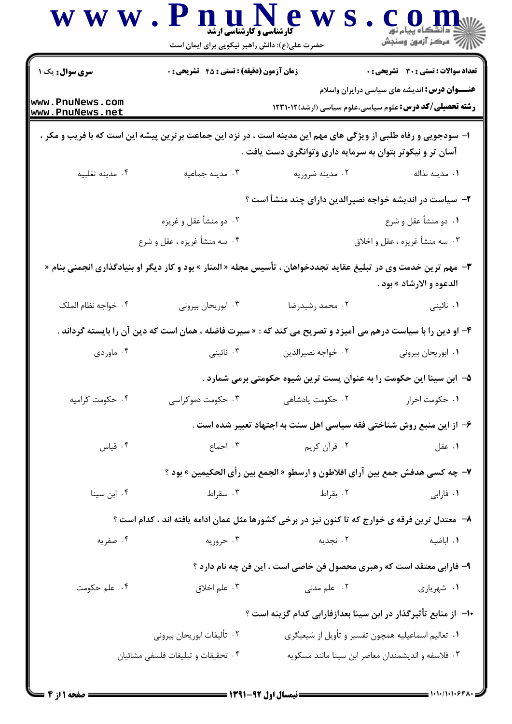|                                    | www.PnuNew<br>حضرت علی(ع): دانش راهبر نیکویی برای ایمان است                                                      | <b>گارشناسی و گارشناسی ارشد</b>                                              | CO II<br>د دانشڪاه پيام نور<br>∭ مرکز آزمون وسنڊش                                                                      |
|------------------------------------|------------------------------------------------------------------------------------------------------------------|------------------------------------------------------------------------------|------------------------------------------------------------------------------------------------------------------------|
| <b>سری سوال :</b> یک ۱             | <b>زمان آزمون (دقیقه) : تستی : 45 قشریحی : 0</b>                                                                 |                                                                              | تعداد سوالات : تستي : 30 ٪ تشريحي : 0                                                                                  |
| www.PnuNews.com<br>www.PnuNews.net |                                                                                                                  |                                                                              | <b>عنـــوان درس:</b> اندیشه های سیاسی درایران واسلام<br><b>رشته تحصیلی/کد درس:</b> علوم سیاسی،علوم سیاسی (ارشد)۱۲۳۱۰۱۲ |
|                                    | ا- سودجویی و رفاه طلبی از ویژگی های مهم این مدینه است ، در نزد این جماعت برترین پیشه این است که با فریب و مکر ،  | آسان تر و نیکوتر بتوان به سرمایه داری وتوانگری دست یافت .                    |                                                                                                                        |
| ۰۴ مدينه تغلبيه                    | ۰۳ مدينه جماعيه                                                                                                  | ۰۲ مدينه ضروريه                                                              | ٠١. مدينه نذاله                                                                                                        |
|                                    |                                                                                                                  | ۲– سیاست در اندیشه خواجه نصیرالدین دارای چند منشأ است ؟                      |                                                                                                                        |
|                                    | ۰۲ دو منشأ عقل و غريزه                                                                                           |                                                                              | ٠١ دو منشأ عقل و شرع                                                                                                   |
|                                    | ۴. سه منشأ غريزه ، عقل و شرع                                                                                     |                                                                              | ۰۳ سه منشأ غريزه ، عقل و اخلاق                                                                                         |
|                                    | ۳- مهم ترین خدمت وی در تبلیغ عقاید تجددخواهان ، تأسیس مجله « المنار » بود و کار دیگر او بنیادگذاری انجمنی بنام « |                                                                              | الدعوه و الارشاد » بود .                                                                                               |
| ۰۴ خواجه نظام الملک                | ۰۳ ابوریحان بیرونی                                                                                               | ۰۲ محمد رشیدرضا                                                              | ۰۱ نائینی                                                                                                              |
|                                    | ۴- او دین را با سیاست درهم می آمیزد و تصریح می کند که : « سیرت فاضله ، همان است که دین آن را بایسته گرداند .     |                                                                              |                                                                                                                        |
| ۰۴ ماوردی                          | ۰۳ نائینی                                                                                                        | ٠٢ خواجه نصيرالدين                                                           | ۰۱ ابوریحان بیرونی                                                                                                     |
|                                    |                                                                                                                  | ۵– ابن سینا این حکومت را به عنوان پست ترین شیوه حکومتی برمی شمارد .          |                                                                                                                        |
| ۰۴ حکومت کرامیه                    | ۰۳ حکومت دموکراسی                                                                                                | ۰۲ حکومت پادشاهی                                                             | ٠١ حكومت احرار                                                                                                         |
|                                    |                                                                                                                  | ۶- از این منبع روش شناختی فقه سیاسی اهل سنت به اجتهاد تعبیر شده است .        |                                                                                                                        |
| ۰۴ قياس                            | ۰۳ اجماع                                                                                                         | ۰۲ قرآن کريم                                                                 | ۰۱ عقل                                                                                                                 |
|                                    |                                                                                                                  | ٧- چه كسى هدفش جمع بين آراى افلاطون و ارسطو « الجمع بين رأى الحكيمين » بود ؟ |                                                                                                                        |
| ۰۴ ابن سينا                        | ۰۳ سقراط                                                                                                         | ۰۲ بقراط                                                                     | ۰۱ فارابی                                                                                                              |
|                                    | ۸–  معتدل ترین فرقه ی خوارج که تا کنون نیز در برخی کشورها مثل عمان ادامه یافته اند ، کدام است ؟                  |                                                                              |                                                                                                                        |
| ۰۴ صفریه                           | ۰۳ حروریه                                                                                                        | ۰۲ نجدیه                                                                     | ٠١. اباضيه                                                                                                             |
|                                    |                                                                                                                  | ۹- فارابی معتقد است که رهبری محصول فن خاصی است ، این فن چه نام دارد ؟        |                                                                                                                        |
| ۰۴ علم حکومت                       | ۰۳ علم اخلاق                                                                                                     | ۰۲ علم مدنی                                                                  | ۰۱ شهریاری                                                                                                             |
|                                    |                                                                                                                  | ∙ا−  از منابع تأثیرگذار در ابن سینا بعدازفارابی کدام گزینه است ؟             |                                                                                                                        |
|                                    | ٠٢ تأليفات ابوريحان بيروني                                                                                       |                                                                              | ۰۱ تعالیم اسماعیلیه همچون تفسیر و تأویل از شیعیگری                                                                     |
|                                    | ۰۴ تحقیقات و تبلیغات فلسفی مشائیان                                                                               |                                                                              | ۰۳ فلاسفه و اندیشمندان معاصر ابن سینا مانند مسکویه                                                                     |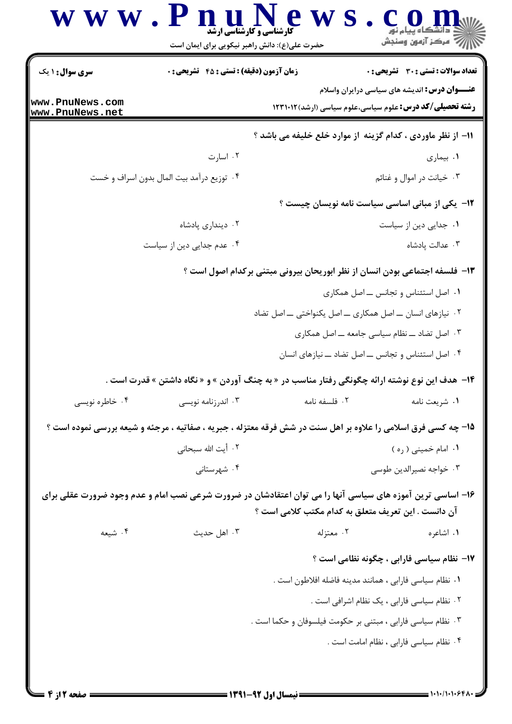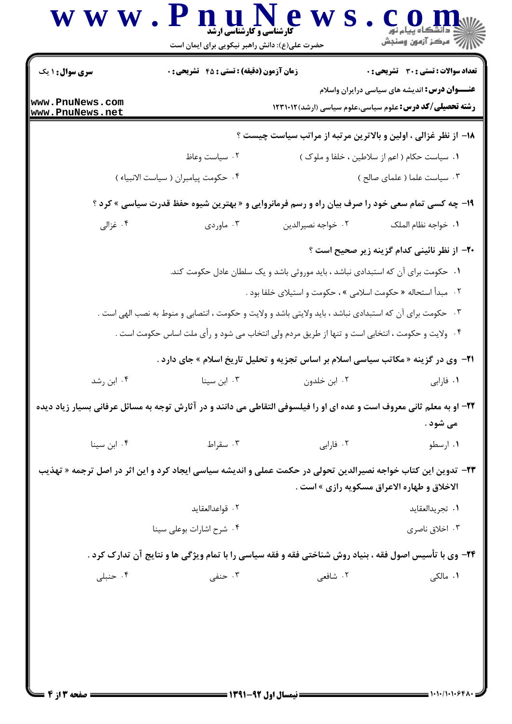|                                    |                                      |                                                                                                                                                                      | تعداد سوالات : تستى : 30 ٪ تشريحي : 0                |
|------------------------------------|--------------------------------------|----------------------------------------------------------------------------------------------------------------------------------------------------------------------|------------------------------------------------------|
| www.PnuNews.com<br>www.PnuNews.net |                                      | <b>رشته تحصیلی/کد درس:</b> علوم سیاسی،علوم سیاسی (ارشد)۱۲۳۱۰۱۲                                                                                                       | <b>عنـــوان درس:</b> اندیشه های سیاسی درایران واسلام |
|                                    |                                      | 18- از نظر غزالی ، اولین و بالاترین مرتبه از مراتب سیاست چیست ؟                                                                                                      |                                                      |
|                                    | ۰۲ سیاست وعاظ                        | ۰۱ سیاست حکام ( اعم از سلاطین ، خلفا و ملوک )                                                                                                                        |                                                      |
|                                    | ۰۴ حکومت پیامبران ( سیاست الانبیاء ) |                                                                                                                                                                      | ۰۳ سیاست علما ( علمای صالح )                         |
|                                    |                                      | ۱۹- چه کسی تمام سعی خود را صرف بیان راه و رسم فرمانروایی و « بهترین شیوه حفظ قدرت سیاسی » کرد ؟                                                                      |                                                      |
| ۰۴ غزالی                           | ۰۳ ماوردی                            | ۰۲ خواجه نصيرالدين                                                                                                                                                   | ٠١. خواجه نظام الملك                                 |
|                                    |                                      |                                                                                                                                                                      | ۲۰– از نظر نائینی کدام گزینه زیر صحیح است ؟          |
|                                    |                                      | ۰۱ حکومت برای آن که استبدادی نباشد ، باید موروثی باشد و یک سلطان عادل حکومت کند.                                                                                     |                                                      |
|                                    |                                      | ۰۲ مبدأ استحاله « حکومت اسلامی » ، حکومت و استیلای خلفا بود .                                                                                                        |                                                      |
|                                    |                                      | ۰۳ حکومت برای آن که استبدادی نباشد ، باید ولایتی باشد و ولایت و حکومت ، انتصابی و منوط به نصب الهی است .                                                             |                                                      |
|                                    |                                      | ۰۴ ولایت و حکومت ، انتخابی است و تنها از طریق مردم ولی انتخاب می شود و رأی ملت اساس حکومت است .                                                                      |                                                      |
|                                    |                                      | <b>۲۱</b> - وی در گزینه « مکاتب سیاسی اسلام بر اساس تجزیه و تحلیل تاریخ اسلام » جای دارد .                                                                           |                                                      |
| ۰۴ ابن رشد                         | ۰۳ ابن سینا                          | ۰۲ ابن خلدون                                                                                                                                                         | ۰۱ فارابی                                            |
|                                    |                                      | ۲۲– او به معلم ثانی معروف است و عده ای او را فیلسوفی التقاطی می دانند و در آثارش توجه به مسائل عرفانی بسیار زیاد دیده                                                |                                                      |
|                                    |                                      |                                                                                                                                                                      | می شود .                                             |
| ۰۴ ابن سینا                        | ۰۳ سقراط                             | ٠٢ فارابي                                                                                                                                                            | ۰۱ ارسطو                                             |
|                                    |                                      | <b>۲۳</b> - تدوین این کتاب خواجه نصیرالدین تحولی در حکمت عملی و اندیشه سیاسی ایجاد کرد و این اثر در اصل ترجمه « تهذیب<br>الاخلاق و طهاره الاعراق مسکویه رازی » است . |                                                      |
|                                    | ٠٢ قواعدالعقايد                      |                                                                                                                                                                      | ٠١. تجريدالعقايد                                     |
|                                    | ۰۴ شرح اشارات بوعلی سینا             |                                                                                                                                                                      | ۰۳ اخلاق ناصری                                       |
|                                    |                                      | 34- وی با تأسیس اصول فقه ، بنیاد روش شناختی فقه و فقه سیاسی را با تمام ویژگی ها و نتایج آن تدارک کرد .                                                               |                                                      |
| ۰۴ حنبلی                           | ۰۳ حنفی                              | ۲. شافعي                                                                                                                                                             | ۰۱ مالکی                                             |